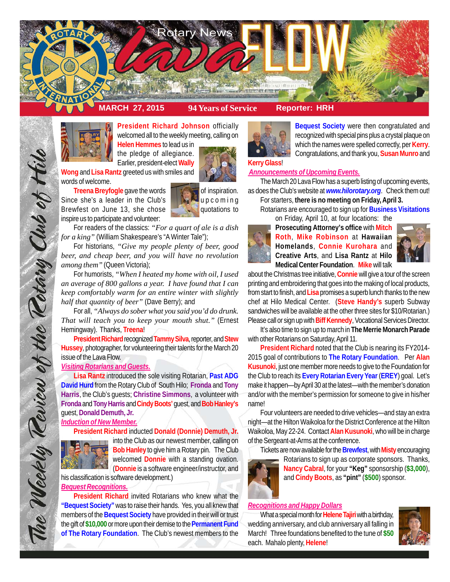



**President Richard Johnson** officially welcomed all to the weekly meeting, calling on **Helen Hemmes** to lead us in

the pledge of allegiance. Earlier, president-elect **Wally**

**Wong** and **Lisa Rantz** greeted us with smiles and words of welcome.

**Treena Breyfogle** gave the words **The analysis of inspiration.** Since she's a leader in the Club's  $\Box$  upcoming Brewfest on June 13, she chose inspire us to participate and volunteer:

For readers of the classics: *"For a quart of ale is a dish for a king"* (William Shakespeare's "A Winter Tale");

For historians, *"Give my people plenty of beer, good beer, and cheap beer, and you will have no revolution among them"* (Queen Victoria);

For humorists, *"When I heated my home with oil, I used an average of 800 gallons a year. I have found that I can keep comfortably warm for an entire winter with slightly half that quantity of beer"* (Dave Berry); and

For all, *"Always do sober what you said you'd do drunk. That will teach you to keep your mouth shut."* (Ernest Hemingway). Thanks, **Treena**!

**President Richard** recognized **Tammy Silva**, reporter, and **Stew Hussey**, photographer, for volunteering their talents for the March 20 issue of the Lava Flow.

## *Visiting Rotarians and Guests.*

**Lisa Rantz** introduced the sole visiting Rotarian, **Past ADG David Hurd** from the Rotary Club of South Hilo; **Fronda** and **Tony Harris**, the Club's guests; **Christine Simmons**, a volunteer with **Fronda** and **Tony Harris** and **Cindy Boots'** guest, and **Bob Hanley's** guest, **Donald Demuth, Jr.**

*Induction of New Member.*

**President Richard** inducted **Donald (Donnie) Demuth, Jr.**



The Weekly Review of the Rotary Club of Hilo

into the Club as our newest member, calling on **Bob Hanley** to give him a Rotary pin. The Club welcomed **Donnie** with a standing ovation. (**Donnie** is a software engineer/instructor, and

his classification is software development.) *Bequest Recognitions.*

**President Richard** invited Rotarians who knew what the **"Bequest Society"** was to raise their hands. Yes, you all knew that members of the **Bequest Society** have provided in their will or trust the gift of **\$10,000** or more upon their demise to the **Permanent Fund of The Rotary Foundation**. The Club's newest members to the



**Bequest Society** were then congratulated and recognized with special pins plus a crystal plaque on which the names were spelled correctly, per **Kerry**. Congratulations, and thank you, **Susan Munro** and

**Kerry Glass**!

### *Announcements of Upcoming Events.*

The March 20 Lava Flow has a superb listing of upcoming events, as does the Club's website at *www.hilorotary.org*. Check them out!

For starters, **there is no meeting on Friday, April 3.**

Rotarians are encouraged to sign up for **Business Visitations** on Friday, April 10, at four locations: the

**Prosecuting Attorney's office** with **Mitch Roth**, **Mike Robinson** at **Hawaiian Homelands**, **Connie Kurohara** and **Creative Arts**, and **Lisa Rantz** at **Hilo Medical Center Foundation**. **Mike** will talk



about the Christmas tree initiative, **Connie** will give a tour of the screen printing and embroidering that goes into the making of local products, from start to finish, and **Lisa** promises a superb lunch thanks to the new chef at Hilo Medical Center. (**Steve Handy's** superb Subway sandwiches will be available at the other three sites for \$10/Rotarian.) Please call or sign up with **Biff Kennedy**, Vocational Services Director.

It's also time to sign up to march in **The Merrie Monarch Parade** with other Rotarians on Saturday, April 11.

**President Richard** noted that the Club is nearing its FY2014- 2015 goal of contributions to **The Rotary Foundation**. Per **Alan Kusunoki**, just one member more needs to give to the Foundation for the Club to reach its **Every Rotarian Every Year** (**EREY**) goal. Let's make it happen—by April 30 at the latest—with the member's donation and/or with the member's permission for someone to give in his/her name!

Four volunteers are needed to drive vehicles—and stay an extra night—at the Hilton Waikoloa for the District Conference at the Hilton Waikoloa, May 22-24. Contact **Alan Kusunoki**, who will be in charge of the Sergeant-at-Arms at the conference.

Tickets are now available for the **Brewfest**, with **Misty** encouraging



Rotarians to sign up as corporate sponsors. Thanks, **Nancy Cabral**, for your **"Keg"** sponsorship (**\$3,000**), and **Cindy Boots**, as **"pint"** (**\$500**) sponsor.

# *Recognitions and Happy Dollars*

What a special month for **Helene Tajiri** with a birthday, wedding anniversary, and club anniversary all falling in March! Three foundations benefited to the tune of **\$50** each. Mahalo plenty, **Helene**!